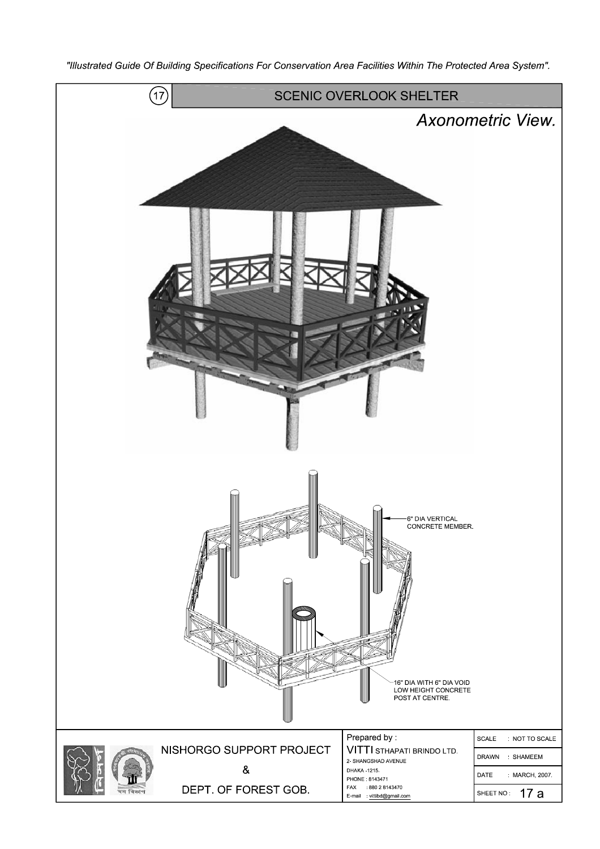"Illustrated Guide Of Building Specifications For Conservation Area Facilities Within The Protected Area System".

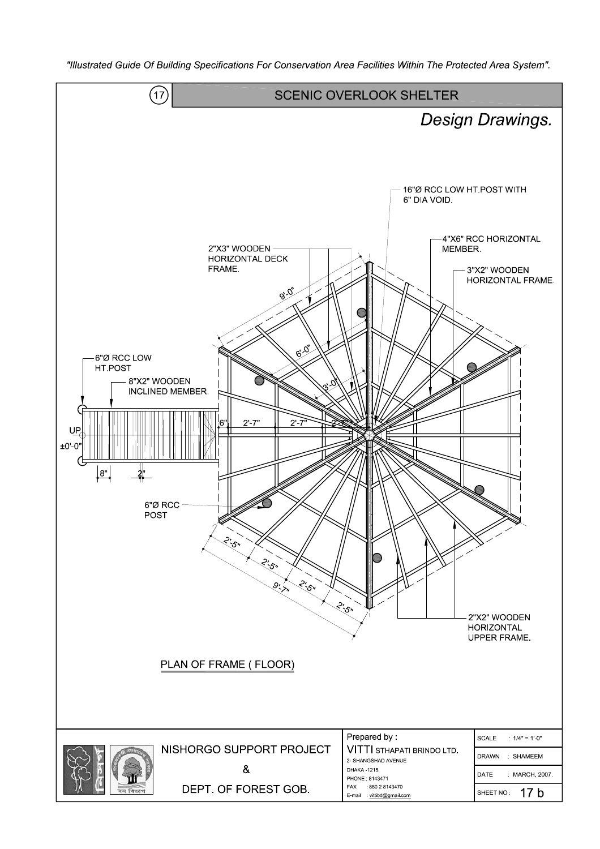"Illustrated Guide Of Building Specifications For Conservation Area Facilities Within The Protected Area System".

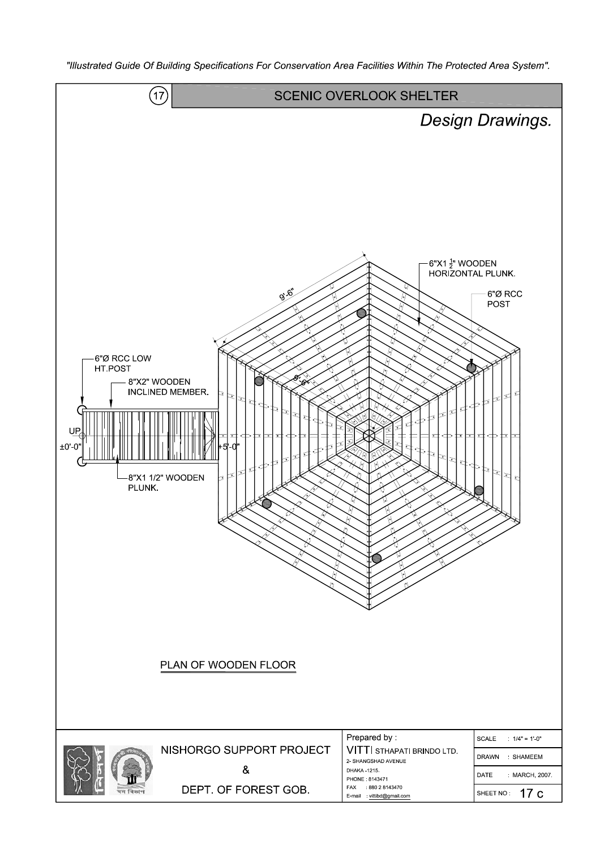

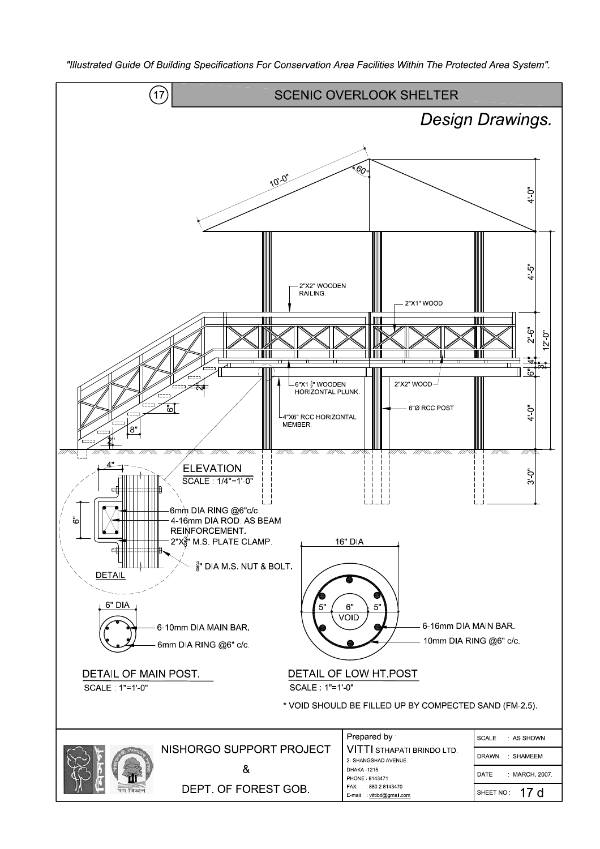

"Illustrated Guide Of Building Specifications For Conservation Area Facilities Within The Protected Area System".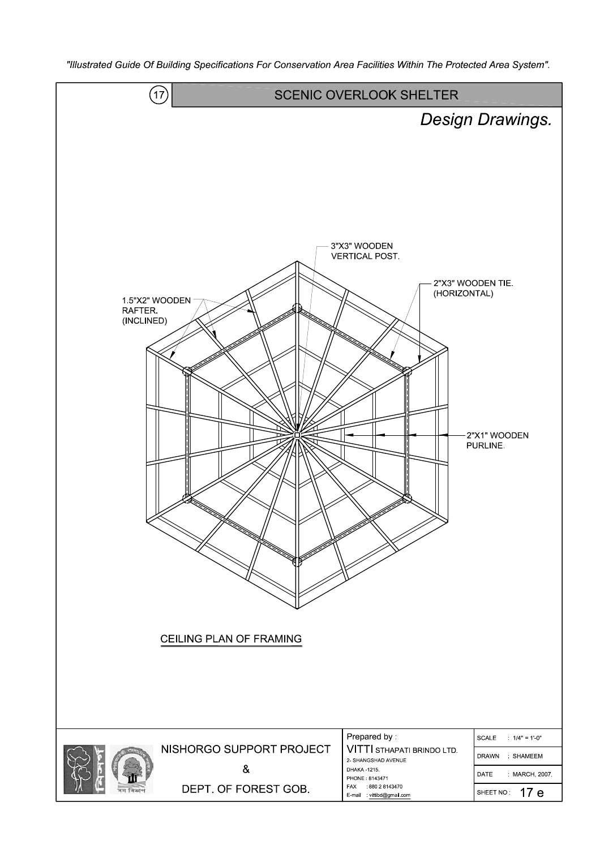

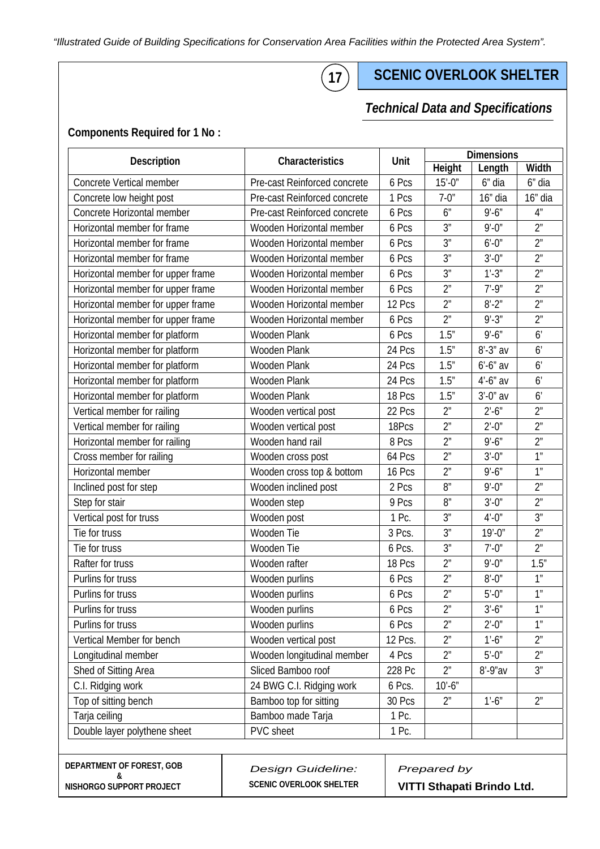*"Illustrated Guide of Building Specifications for Conservation Area Facilities within the Protected Area System".* 

## **17**

## **SCENIC OVERLOOK SHELTER**

## *Technical Data and Specifications Technical Data and Specifications*

### **Components Required for 1 No :**

| Description                                                   | Characteristics                | Unit    | <b>Dimensions</b>          |                 |                 |  |
|---------------------------------------------------------------|--------------------------------|---------|----------------------------|-----------------|-----------------|--|
|                                                               |                                |         | Height                     | Length          | Width           |  |
| Concrete Vertical member                                      | Pre-cast Reinforced concrete   | 6 Pcs   | $15' - 0''$                | 6" dia          | 6" dia          |  |
| Concrete low height post                                      | Pre-cast Reinforced concrete   | 1 Pcs   | $7 - 0"$                   | $16$ " dia      | $16$ " dia      |  |
| Concrete Horizontal member                                    | Pre-cast Reinforced concrete   | 6 Pcs   | 6"                         | $9' - 6''$      | 4"              |  |
| Horizontal member for frame                                   | Wooden Horizontal member       | 6 Pcs   | 3"                         | $9' - 0''$      | 2 <sup>n</sup>  |  |
| Horizontal member for frame                                   | Wooden Horizontal member       | 6 Pcs   | 3"                         | $6' - 0''$      | 2 <sup>n</sup>  |  |
| Horizontal member for frame                                   | Wooden Horizontal member       | 6 Pcs   | 3"                         | $3' - 0''$      | 2 <sup>n</sup>  |  |
| Horizontal member for upper frame                             | Wooden Horizontal member       | 6 Pcs   | 3 <sup>''</sup>            | $1' - 3''$      | 2 <sup>n</sup>  |  |
| Horizontal member for upper frame                             | Wooden Horizontal member       | 6 Pcs   | 2 <sup>n</sup>             | $7' - 9''$      | 2 <sup>n</sup>  |  |
| Horizontal member for upper frame                             | Wooden Horizontal member       | 12 Pcs  | 2 <sup>n</sup>             | $8 - 2"$        | 2 <sup>n</sup>  |  |
| Horizontal member for upper frame                             | Wooden Horizontal member       | 6 Pcs   | 2 <sup>n</sup>             | $9' - 3''$      | 2 <sup>n</sup>  |  |
| Horizontal member for platform                                | Wooden Plank                   | 6 Pcs   | 1.5''                      | $9' - 6''$      | 6 <sup>'</sup>  |  |
| Horizontal member for platform                                | Wooden Plank                   | 24 Pcs  | 1.5''                      | $8' - 3''$ av   | 6'              |  |
| Horizontal member for platform                                | Wooden Plank                   | 24 Pcs  | 1.5''                      | $6'$ - $6''$ av | 6 <sup>'</sup>  |  |
| Horizontal member for platform                                | <b>Wooden Plank</b>            | 24 Pcs  | 1.5''                      | $4'-6''$ av     | 6'              |  |
| Horizontal member for platform                                | Wooden Plank                   | 18 Pcs  | 1.5''                      | $3'$ -0" av     | 6 <sup>'</sup>  |  |
| Vertical member for railing                                   | Wooden vertical post           | 22 Pcs  | 2 <sup>n</sup>             | $2' - 6''$      | 2 <sup>n</sup>  |  |
| Vertical member for railing                                   | Wooden vertical post           | 18Pcs   | 2 <sup>n</sup>             | $2' - 0''$      | 2 <sup>n</sup>  |  |
| Horizontal member for railing                                 | Wooden hand rail               | 8 Pcs   | 2 <sup>n</sup>             | $9' - 6''$      | 2 <sup>n</sup>  |  |
| Cross member for railing                                      | Wooden cross post              | 64 Pcs  | 2 <sup>n</sup>             | $3' - 0''$      | 1 <sup>n</sup>  |  |
| Horizontal member                                             | Wooden cross top & bottom      | 16 Pcs  | 2 <sup>n</sup>             | $9' - 6''$      | 1 <sup>n</sup>  |  |
| Inclined post for step                                        | Wooden inclined post           | 2 Pcs   | 8"                         | $9' - 0''$      | 2 <sup>n</sup>  |  |
| Step for stair                                                | Wooden step                    | 9 Pcs   | 8"                         | $3' - 0''$      | 2 <sup>n</sup>  |  |
| Vertical post for truss                                       | Wooden post                    | 1 Pc.   | 3"                         | $4' - 0''$      | 3 <sup>''</sup> |  |
| Tie for truss                                                 | Wooden Tie                     | 3 Pcs.  | 3 <sup>''</sup>            | $19' - 0''$     | 2 <sup>n</sup>  |  |
| Tie for truss                                                 | Wooden Tie                     | 6 Pcs.  | 3 <sup>''</sup>            | $7' - 0''$      | 2 <sup>n</sup>  |  |
| Rafter for truss                                              | Wooden rafter                  | 18 Pcs  | 2 <sup>n</sup>             | $9' - 0''$      | 1.5''           |  |
| Purlins for truss                                             | Wooden purlins                 | 6 Pcs   | 2 <sup>n</sup>             | $8' - 0''$      | 1"              |  |
| Purlins for truss                                             | Wooden purlins                 | 6 Pcs   | 2 <sup>n</sup>             | $5' - 0''$      | 1 <sup>''</sup> |  |
| Purlins for truss                                             | Wooden purlins                 | 6 Pcs   | 2 <sup>n</sup>             | $3' - 6''$      | 1 <sup>n</sup>  |  |
| Purlins for truss                                             | Wooden purlins                 | 6 Pcs   | 2 <sup>n</sup>             | $2' - 0''$      | 1 <sup>n</sup>  |  |
| Vertical Member for bench                                     | Wooden vertical post           | 12 Pcs. | 2 <sup>n</sup>             | $1' - 6''$      | 2 <sup>n</sup>  |  |
| Longitudinal member                                           | Wooden longitudinal member     | 4 Pcs   | 2 <sup>n</sup>             | $5' - 0''$      | 2 <sup>n</sup>  |  |
| Shed of Sitting Area                                          | Sliced Bamboo roof             | 228 Pc  | 2 <sup>n</sup>             | $8' - 9''$ av   | 3 <sup>''</sup> |  |
| C.I. Ridging work                                             | 24 BWG C.I. Ridging work       | 6 Pcs.  | $10'-6''$                  |                 |                 |  |
| Top of sitting bench                                          | Bamboo top for sitting         | 30 Pcs  | 2 <sup>n</sup>             | $1' - 6''$      | 2 <sup>n</sup>  |  |
| Tarja ceiling                                                 | Bamboo made Tarja              | 1 Pc.   |                            |                 |                 |  |
| Double layer polythene sheet                                  | PVC sheet                      | 1 Pc.   |                            |                 |                 |  |
|                                                               |                                |         |                            |                 |                 |  |
| DEPARTMENT OF FOREST, GOB<br>Design Guideline:<br>Prepared by |                                |         |                            |                 |                 |  |
| &<br>NISHORGO SUPPORT PROJECT                                 | <b>SCENIC OVERLOOK SHELTER</b> |         | VITTI Sthapati Brindo Ltd. |                 |                 |  |